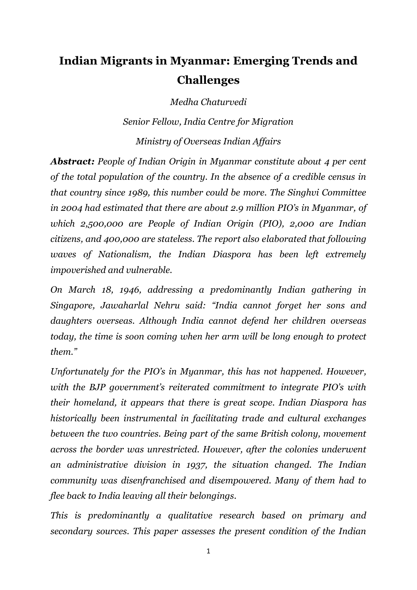# **Indian Migrants in Myanmar: Emerging Trends and Challenges**

*Medha Chaturvedi*

*Senior Fellow, India Centre for Migration Ministry of Overseas Indian Affairs*

*Abstract: People of Indian Origin in Myanmar constitute about 4 per cent of the total population of the country. In the absence of a credible census in that country since 1989, this number could be more. The Singhvi Committee in 2004 had estimated that there are about 2.9 million PIO's in Myanmar, of which 2,500,000 are People of Indian Origin (PIO), 2,000 are Indian citizens, and 400,000 are stateless. The report also elaborated that following waves of Nationalism, the Indian Diaspora has been left extremely impoverished and vulnerable.* 

*On March 18, 1946, addressing a predominantly Indian gathering in Singapore, Jawaharlal Nehru said: "India cannot forget her sons and daughters overseas. Although India cannot defend her children overseas today, the time is soon coming when her arm will be long enough to protect them."*

*Unfortunately for the PIO's in Myanmar, this has not happened. However, with the BJP government's reiterated commitment to integrate PIO's with their homeland, it appears that there is great scope. Indian Diaspora has historically been instrumental in facilitating trade and cultural exchanges between the two countries. Being part of the same British colony, movement across the border was unrestricted. However, after the colonies underwent an administrative division in 1937, the situation changed. The Indian community was disenfranchised and disempowered. Many of them had to flee back to India leaving all their belongings.* 

*This is predominantly a qualitative research based on primary and secondary sources. This paper assesses the present condition of the Indian*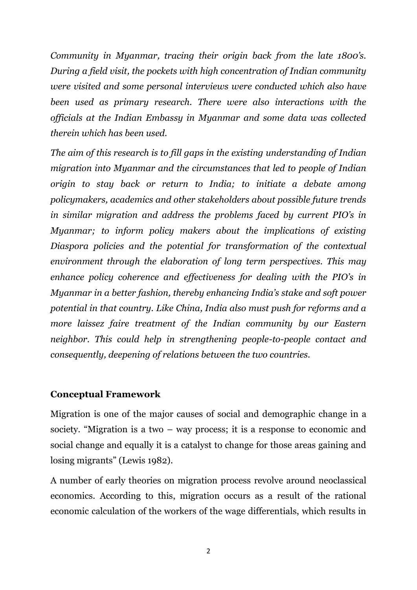*Community in Myanmar, tracing their origin back from the late 1800's. During a field visit, the pockets with high concentration of Indian community were visited and some personal interviews were conducted which also have been used as primary research. There were also interactions with the officials at the Indian Embassy in Myanmar and some data was collected therein which has been used.* 

*The aim of this research is to fill gaps in the existing understanding of Indian migration into Myanmar and the circumstances that led to people of Indian origin to stay back or return to India; to initiate a debate among policymakers, academics and other stakeholders about possible future trends in similar migration and address the problems faced by current PIO's in Myanmar; to inform policy makers about the implications of existing Diaspora policies and the potential for transformation of the contextual environment through the elaboration of long term perspectives. This may enhance policy coherence and effectiveness for dealing with the PIO's in Myanmar in a better fashion, thereby enhancing India's stake and soft power potential in that country. Like China, India also must push for reforms and a more laissez faire treatment of the Indian community by our Eastern neighbor. This could help in strengthening people-to-people contact and consequently, deepening of relations between the two countries.*

### **Conceptual Framework**

Migration is one of the major causes of social and demographic change in a society. "Migration is a two – way process; it is a response to economic and social change and equally it is a catalyst to change for those areas gaining and losing migrants" (Lewis 1982).

A number of early theories on migration process revolve around neoclassical economics. According to this, migration occurs as a result of the rational economic calculation of the workers of the wage differentials, which results in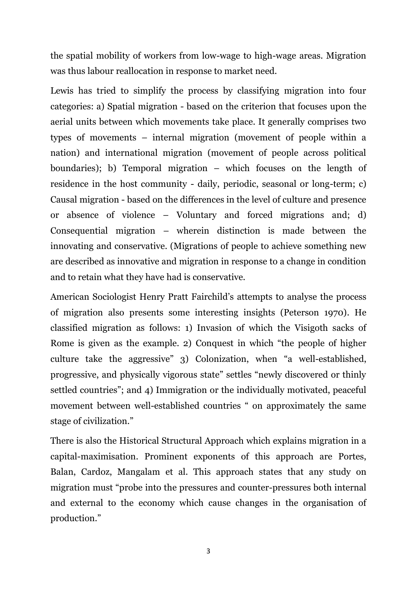the spatial mobility of workers from low-wage to high-wage areas. Migration was thus labour reallocation in response to market need.

Lewis has tried to simplify the process by classifying migration into four categories: a) Spatial migration - based on the criterion that focuses upon the aerial units between which movements take place. It generally comprises two types of movements – internal migration (movement of people within a nation) and international migration (movement of people across political boundaries); b) Temporal migration – which focuses on the length of residence in the host community - daily, periodic, seasonal or long-term; c) Causal migration - based on the differences in the level of culture and presence or absence of violence – Voluntary and forced migrations and; d) Consequential migration – wherein distinction is made between the innovating and conservative. (Migrations of people to achieve something new are described as innovative and migration in response to a change in condition and to retain what they have had is conservative.

American Sociologist Henry Pratt Fairchild's attempts to analyse the process of migration also presents some interesting insights (Peterson 1970). He classified migration as follows: 1) Invasion of which the Visigoth sacks of Rome is given as the example. 2) Conquest in which "the people of higher culture take the aggressive" 3) Colonization, when "a well-established, progressive, and physically vigorous state" settles "newly discovered or thinly settled countries"; and 4) Immigration or the individually motivated, peaceful movement between well-established countries " on approximately the same stage of civilization."

There is also the Historical Structural Approach which explains migration in a capital-maximisation. Prominent exponents of this approach are Portes, Balan, Cardoz, Mangalam et al. This approach states that any study on migration must "probe into the pressures and counter-pressures both internal and external to the economy which cause changes in the organisation of production."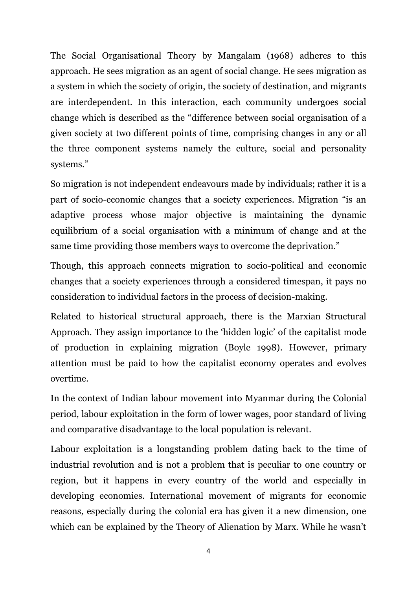The Social Organisational Theory by Mangalam (1968) adheres to this approach. He sees migration as an agent of social change. He sees migration as a system in which the society of origin, the society of destination, and migrants are interdependent. In this interaction, each community undergoes social change which is described as the "difference between social organisation of a given society at two different points of time, comprising changes in any or all the three component systems namely the culture, social and personality systems."

So migration is not independent endeavours made by individuals; rather it is a part of socio-economic changes that a society experiences. Migration "is an adaptive process whose major objective is maintaining the dynamic equilibrium of a social organisation with a minimum of change and at the same time providing those members ways to overcome the deprivation."

Though, this approach connects migration to socio-political and economic changes that a society experiences through a considered timespan, it pays no consideration to individual factors in the process of decision-making.

Related to historical structural approach, there is the Marxian Structural Approach. They assign importance to the 'hidden logic' of the capitalist mode of production in explaining migration (Boyle 1998). However, primary attention must be paid to how the capitalist economy operates and evolves overtime.

In the context of Indian labour movement into Myanmar during the Colonial period, labour exploitation in the form of lower wages, poor standard of living and comparative disadvantage to the local population is relevant.

Labour exploitation is a longstanding problem dating back to the time of industrial revolution and is not a problem that is peculiar to one country or region, but it happens in every country of the world and especially in developing economies. International movement of migrants for economic reasons, especially during the colonial era has given it a new dimension, one which can be explained by the Theory of Alienation by Marx. While he wasn't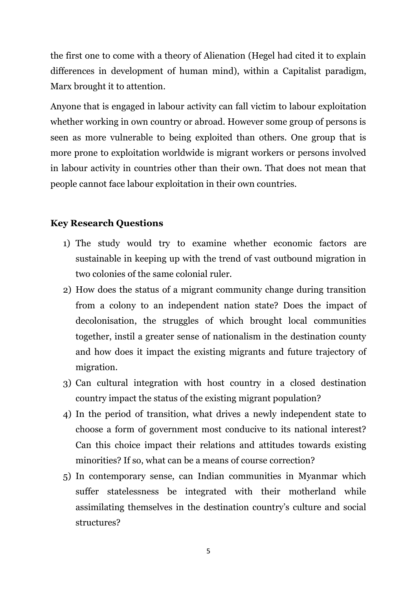the first one to come with a theory of Alienation (Hegel had cited it to explain differences in development of human mind), within a Capitalist paradigm, Marx brought it to attention.

Anyone that is engaged in labour activity can fall victim to labour exploitation whether working in own country or abroad. However some group of persons is seen as more vulnerable to being exploited than others. One group that is more prone to exploitation worldwide is migrant workers or persons involved in labour activity in countries other than their own. That does not mean that people cannot face labour exploitation in their own countries.

# **Key Research Questions**

- 1) The study would try to examine whether economic factors are sustainable in keeping up with the trend of vast outbound migration in two colonies of the same colonial ruler.
- 2) How does the status of a migrant community change during transition from a colony to an independent nation state? Does the impact of decolonisation, the struggles of which brought local communities together, instil a greater sense of nationalism in the destination county and how does it impact the existing migrants and future trajectory of migration.
- 3) Can cultural integration with host country in a closed destination country impact the status of the existing migrant population?
- 4) In the period of transition, what drives a newly independent state to choose a form of government most conducive to its national interest? Can this choice impact their relations and attitudes towards existing minorities? If so, what can be a means of course correction?
- 5) In contemporary sense, can Indian communities in Myanmar which suffer statelessness be integrated with their motherland while assimilating themselves in the destination country's culture and social structures?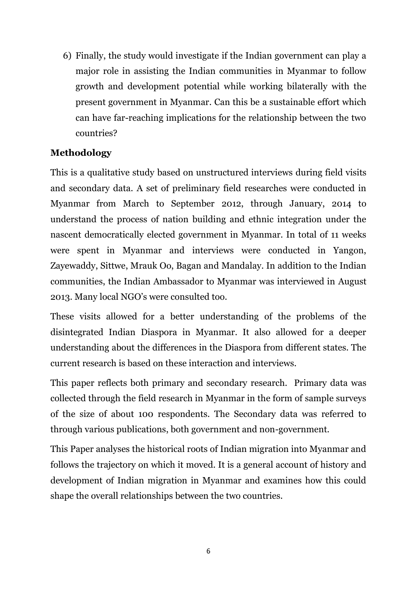6) Finally, the study would investigate if the Indian government can play a major role in assisting the Indian communities in Myanmar to follow growth and development potential while working bilaterally with the present government in Myanmar. Can this be a sustainable effort which can have far-reaching implications for the relationship between the two countries?

# **Methodology**

This is a qualitative study based on unstructured interviews during field visits and secondary data. A set of preliminary field researches were conducted in Myanmar from March to September 2012, through January, 2014 to understand the process of nation building and ethnic integration under the nascent democratically elected government in Myanmar. In total of 11 weeks were spent in Myanmar and interviews were conducted in Yangon, Zayewaddy, Sittwe, Mrauk Oo, Bagan and Mandalay. In addition to the Indian communities, the Indian Ambassador to Myanmar was interviewed in August 2013. Many local NGO's were consulted too.

These visits allowed for a better understanding of the problems of the disintegrated Indian Diaspora in Myanmar. It also allowed for a deeper understanding about the differences in the Diaspora from different states. The current research is based on these interaction and interviews.

This paper reflects both primary and secondary research. Primary data was collected through the field research in Myanmar in the form of sample surveys of the size of about 100 respondents. The Secondary data was referred to through various publications, both government and non-government.

This Paper analyses the historical roots of Indian migration into Myanmar and follows the trajectory on which it moved. It is a general account of history and development of Indian migration in Myanmar and examines how this could shape the overall relationships between the two countries.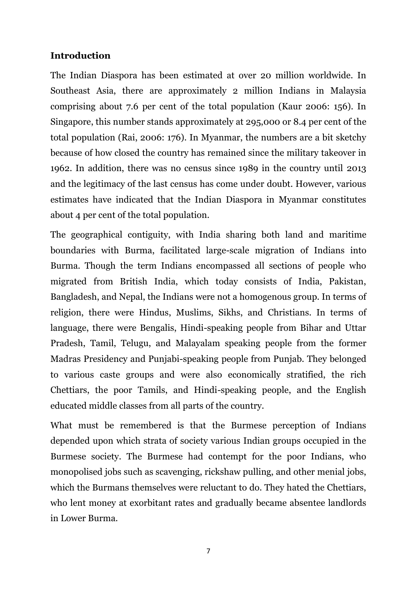# **Introduction**

The Indian Diaspora has been estimated at over 20 million worldwide. In Southeast Asia, there are approximately 2 million Indians in Malaysia comprising about 7.6 per cent of the total population (Kaur 2006: 156). In Singapore, this number stands approximately at 295,000 or 8.4 per cent of the total population (Rai, 2006: 176). In Myanmar, the numbers are a bit sketchy because of how closed the country has remained since the military takeover in 1962. In addition, there was no census since 1989 in the country until 2013 and the legitimacy of the last census has come under doubt. However, various estimates have indicated that the Indian Diaspora in Myanmar constitutes about 4 per cent of the total population.

The geographical contiguity, with India sharing both land and maritime boundaries with Burma, facilitated large-scale migration of Indians into Burma. Though the term Indians encompassed all sections of people who migrated from British India, which today consists of India, Pakistan, Bangladesh, and Nepal, the Indians were not a homogenous group. In terms of religion, there were Hindus, Muslims, Sikhs, and Christians. In terms of language, there were Bengalis, Hindi-speaking people from Bihar and Uttar Pradesh, Tamil, Telugu, and Malayalam speaking people from the former Madras Presidency and Punjabi-speaking people from Punjab. They belonged to various caste groups and were also economically stratified, the rich Chettiars, the poor Tamils, and Hindi-speaking people, and the English educated middle classes from all parts of the country.

What must be remembered is that the Burmese perception of Indians depended upon which strata of society various Indian groups occupied in the Burmese society. The Burmese had contempt for the poor Indians, who monopolised jobs such as scavenging, rickshaw pulling, and other menial jobs, which the Burmans themselves were reluctant to do. They hated the Chettiars, who lent money at exorbitant rates and gradually became absentee landlords in Lower Burma.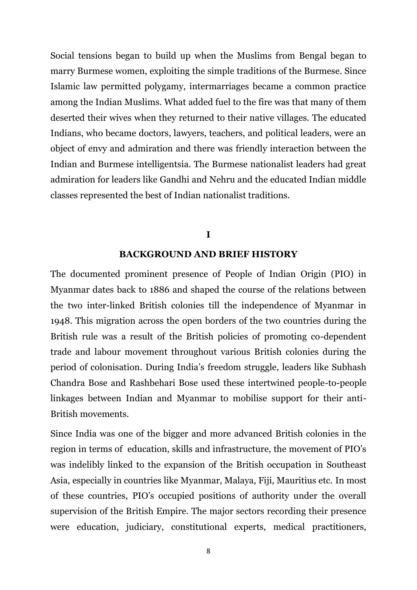Social tensions began to build up when the Muslims from Bengal began to marry Burmese women, exploiting the simple traditions of the Burmese. Since Islamic law permitted polygamy, intermarriages became a common practice among the Indian Muslims. What added fuel to the fire was that many of them deserted their wives when they returned to their native villages. The educated Indians, who became doctors, lawyers, teachers, and political leaders, were an object of envy and admiration and there was friendly interaction between the Indian and Burmese intelligentsia. The Burmese nationalist leaders had great admiration for leaders like Gandhi and Nehru and the educated Indian middle classes represented the best of Indian nationalist traditions.

### **I**

#### **BACKGROUND AND BRIEF HISTORY**

The documented prominent presence of People of Indian Origin (PIO) in Myanmar dates back to 1886 and shaped the course of the relations between the two inter-linked British colonies till the independence of Myanmar in 1948. This migration across the open borders of the two countries during the British rule was a result of the British policies of promoting co-dependent trade and labour movement throughout various British colonies during the period of colonisation. During India's freedom struggle, leaders like Subhash Chandra Bose and Rashbehari Bose used these intertwined people-to-people linkages between Indian and Myanmar to mobilise support for their anti-British movements.

Since India was one of the bigger and more advanced British colonies in the region in terms of education, skills and infrastructure, the movement of PIO's was indelibly linked to the expansion of the British occupation in Southeast Asia, especially in countries like Myanmar, Malaya, Fiji, Mauritius etc. In most of these countries, PIO's occupied positions of authority under the overall supervision of the British Empire. The major sectors recording their presence were education, judiciary, constitutional experts, medical practitioners,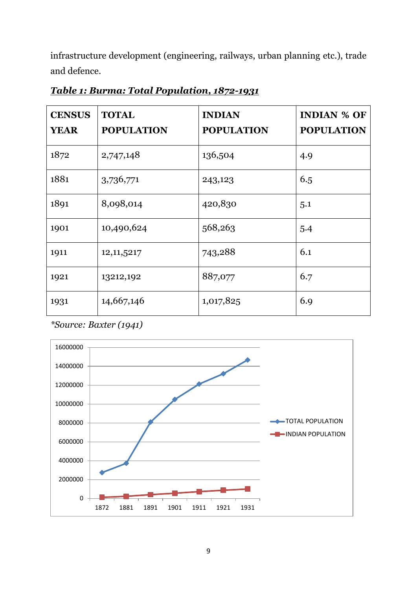infrastructure development (engineering, railways, urban planning etc.), trade and defence.

| <b>CENSUS</b><br><b>YEAR</b> | <b>TOTAL</b><br><b>POPULATION</b> | <b>INDIAN</b><br><b>POPULATION</b> | <b>INDIAN % OF</b><br><b>POPULATION</b> |
|------------------------------|-----------------------------------|------------------------------------|-----------------------------------------|
| 1872                         | 2,747,148                         | 136,504                            | 4.9                                     |
| 1881                         | 3,736,771                         | 243,123                            | 6.5                                     |
| 1891                         | 8,098,014                         | 420,830                            | 5.1                                     |
| 1901                         | 10,490,624                        | 568,263                            | 5.4                                     |
| 1911                         | 12, 11, 5217                      | 743,288                            | 6.1                                     |
| 1921                         | 13212,192                         | 887,077                            | 6.7                                     |
| 1931                         | 14,667,146                        | 1,017,825                          | 6.9                                     |

*Table 1: Burma: Total Population, 1872-1931*

*\*Source: Baxter (1941)* 

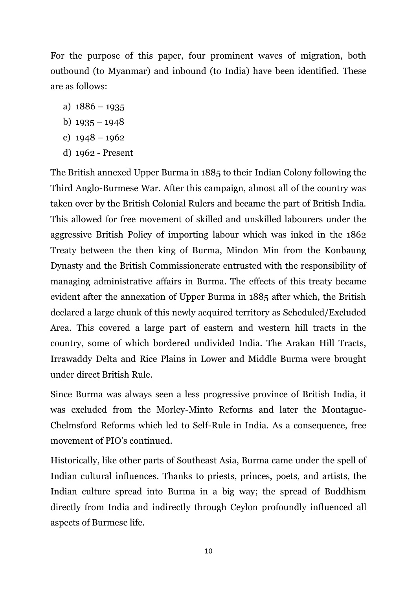For the purpose of this paper, four prominent waves of migration, both outbound (to Myanmar) and inbound (to India) have been identified. These are as follows:

- a)  $1886 1935$
- b)  $1935 1948$
- c)  $1948 1962$
- d) 1962 Present

The British annexed Upper Burma in 1885 to their Indian Colony following the Third Anglo-Burmese War. After this campaign, almost all of the country was taken over by the British Colonial Rulers and became the part of British India. This allowed for free movement of skilled and unskilled labourers under the aggressive British Policy of importing labour which was inked in the 1862 Treaty between the then king of Burma, Mindon Min from the Konbaung Dynasty and the British Commissionerate entrusted with the responsibility of managing administrative affairs in Burma. The effects of this treaty became evident after the annexation of Upper Burma in 1885 after which, the British declared a large chunk of this newly acquired territory as Scheduled/Excluded Area. This covered a large part of eastern and western hill tracts in the country, some of which bordered undivided India. The Arakan Hill Tracts, Irrawaddy Delta and Rice Plains in Lower and Middle Burma were brought under direct British Rule.

Since Burma was always seen a less progressive province of British India, it was excluded from the Morley-Minto Reforms and later the Montague-Chelmsford Reforms which led to Self-Rule in India. As a consequence, free movement of PIO's continued.

Historically, like other parts of Southeast Asia, Burma came under the spell of Indian cultural influences. Thanks to priests, princes, poets, and artists, the Indian culture spread into Burma in a big way; the spread of Buddhism directly from India and indirectly through Ceylon profoundly influenced all aspects of Burmese life.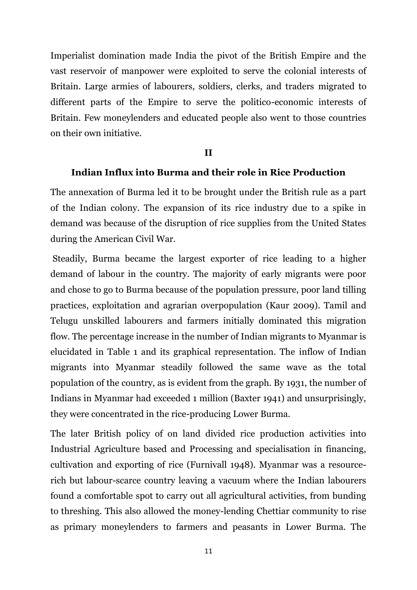Imperialist domination made India the pivot of the British Empire and the vast reservoir of manpower were exploited to serve the colonial interests of Britain. Large armies of labourers, soldiers, clerks, and traders migrated to different parts of the Empire to serve the politico-economic interests of Britain. Few moneylenders and educated people also went to those countries on their own initiative.

### **II**

### **Indian Influx into Burma and their role in Rice Production**

The annexation of Burma led it to be brought under the British rule as a part of the Indian colony. The expansion of its rice industry due to a spike in demand was because of the disruption of rice supplies from the United States during the American Civil War.

Steadily, Burma became the largest exporter of rice leading to a higher demand of labour in the country. The majority of early migrants were poor and chose to go to Burma because of the population pressure, poor land tilling practices, exploitation and agrarian overpopulation (Kaur 2009). Tamil and Telugu unskilled labourers and farmers initially dominated this migration flow. The percentage increase in the number of Indian migrants to Myanmar is elucidated in Table 1 and its graphical representation. The inflow of Indian migrants into Myanmar steadily followed the same wave as the total population of the country, as is evident from the graph. By 1931, the number of Indians in Myanmar had exceeded 1 million (Baxter 1941) and unsurprisingly, they were concentrated in the rice-producing Lower Burma.

The later British policy of on land divided rice production activities into Industrial Agriculture based and Processing and specialisation in financing, cultivation and exporting of rice (Furnivall 1948). Myanmar was a resourcerich but labour-scarce country leaving a vacuum where the Indian labourers found a comfortable spot to carry out all agricultural activities, from bunding to threshing. This also allowed the money-lending Chettiar community to rise as primary moneylenders to farmers and peasants in Lower Burma. The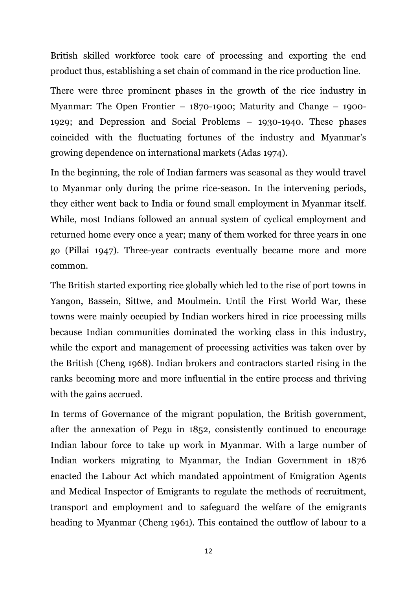British skilled workforce took care of processing and exporting the end product thus, establishing a set chain of command in the rice production line.

There were three prominent phases in the growth of the rice industry in Myanmar: The Open Frontier – 1870-1900; Maturity and Change – 1900- 1929; and Depression and Social Problems – 1930-1940. These phases coincided with the fluctuating fortunes of the industry and Myanmar's growing dependence on international markets (Adas 1974).

In the beginning, the role of Indian farmers was seasonal as they would travel to Myanmar only during the prime rice-season. In the intervening periods, they either went back to India or found small employment in Myanmar itself. While, most Indians followed an annual system of cyclical employment and returned home every once a year; many of them worked for three years in one go (Pillai 1947). Three-year contracts eventually became more and more common.

The British started exporting rice globally which led to the rise of port towns in Yangon, Bassein, Sittwe, and Moulmein. Until the First World War, these towns were mainly occupied by Indian workers hired in rice processing mills because Indian communities dominated the working class in this industry, while the export and management of processing activities was taken over by the British (Cheng 1968). Indian brokers and contractors started rising in the ranks becoming more and more influential in the entire process and thriving with the gains accrued.

In terms of Governance of the migrant population, the British government, after the annexation of Pegu in 1852, consistently continued to encourage Indian labour force to take up work in Myanmar. With a large number of Indian workers migrating to Myanmar, the Indian Government in 1876 enacted the Labour Act which mandated appointment of Emigration Agents and Medical Inspector of Emigrants to regulate the methods of recruitment, transport and employment and to safeguard the welfare of the emigrants heading to Myanmar (Cheng 1961). This contained the outflow of labour to a

12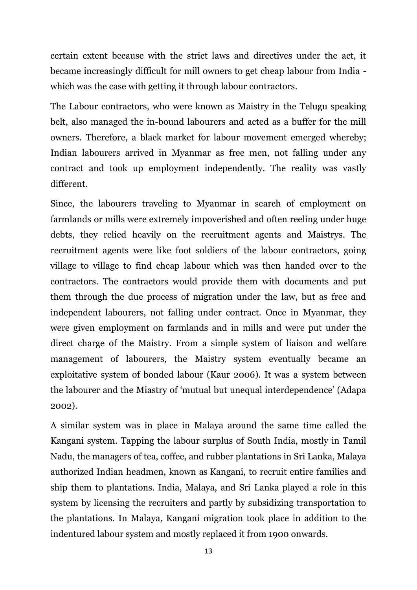certain extent because with the strict laws and directives under the act, it became increasingly difficult for mill owners to get cheap labour from India which was the case with getting it through labour contractors.

The Labour contractors, who were known as Maistry in the Telugu speaking belt, also managed the in-bound labourers and acted as a buffer for the mill owners. Therefore, a black market for labour movement emerged whereby; Indian labourers arrived in Myanmar as free men, not falling under any contract and took up employment independently. The reality was vastly different.

Since, the labourers traveling to Myanmar in search of employment on farmlands or mills were extremely impoverished and often reeling under huge debts, they relied heavily on the recruitment agents and Maistrys. The recruitment agents were like foot soldiers of the labour contractors, going village to village to find cheap labour which was then handed over to the contractors. The contractors would provide them with documents and put them through the due process of migration under the law, but as free and independent labourers, not falling under contract. Once in Myanmar, they were given employment on farmlands and in mills and were put under the direct charge of the Maistry. From a simple system of liaison and welfare management of labourers, the Maistry system eventually became an exploitative system of bonded labour (Kaur 2006). It was a system between the labourer and the Miastry of 'mutual but unequal interdependence' (Adapa 2002).

A similar system was in place in Malaya around the same time called the Kangani system. Tapping the labour surplus of South India, mostly in Tamil Nadu, the managers of tea, coffee, and rubber plantations in Sri Lanka, Malaya authorized Indian headmen, known as Kangani, to recruit entire families and ship them to plantations. India, Malaya, and Sri Lanka played a role in this system by licensing the recruiters and partly by subsidizing transportation to the plantations. In Malaya, Kangani migration took place in addition to the indentured labour system and mostly replaced it from 1900 onwards.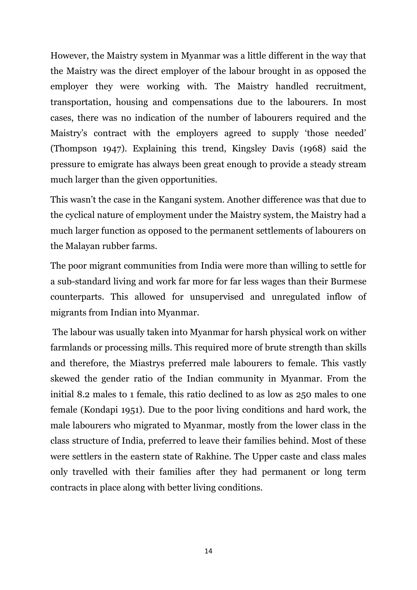However, the Maistry system in Myanmar was a little different in the way that the Maistry was the direct employer of the labour brought in as opposed the employer they were working with. The Maistry handled recruitment, transportation, housing and compensations due to the labourers. In most cases, there was no indication of the number of labourers required and the Maistry's contract with the employers agreed to supply 'those needed' (Thompson 1947). Explaining this trend, Kingsley Davis (1968) said the pressure to emigrate has always been great enough to provide a steady stream much larger than the given opportunities.

This wasn't the case in the Kangani system. Another difference was that due to the cyclical nature of employment under the Maistry system, the Maistry had a much larger function as opposed to the permanent settlements of labourers on the Malayan rubber farms.

The poor migrant communities from India were more than willing to settle for a sub-standard living and work far more for far less wages than their Burmese counterparts. This allowed for unsupervised and unregulated inflow of migrants from Indian into Myanmar.

The labour was usually taken into Myanmar for harsh physical work on wither farmlands or processing mills. This required more of brute strength than skills and therefore, the Miastrys preferred male labourers to female. This vastly skewed the gender ratio of the Indian community in Myanmar. From the initial 8.2 males to 1 female, this ratio declined to as low as 250 males to one female (Kondapi 1951). Due to the poor living conditions and hard work, the male labourers who migrated to Myanmar, mostly from the lower class in the class structure of India, preferred to leave their families behind. Most of these were settlers in the eastern state of Rakhine. The Upper caste and class males only travelled with their families after they had permanent or long term contracts in place along with better living conditions.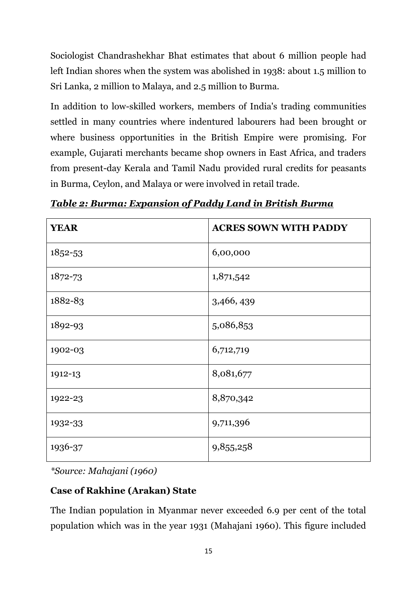Sociologist Chandrashekhar Bhat estimates that about 6 million people had left Indian shores when the system was abolished in 1938: about 1.5 million to Sri Lanka, 2 million to Malaya, and 2.5 million to Burma.

In addition to low-skilled workers, members of India's trading communities settled in many countries where indentured labourers had been brought or where business opportunities in the British Empire were promising. For example, Gujarati merchants became shop owners in East Africa, and traders from present-day Kerala and Tamil Nadu provided rural credits for peasants in Burma, Ceylon, and Malaya or were involved in retail trade.

| <b>YEAR</b> | <b>ACRES SOWN WITH PADDY</b> |
|-------------|------------------------------|
| 1852-53     | 6,00,000                     |
| 1872-73     | 1,871,542                    |
| 1882-83     | 3,466,439                    |
| 1892-93     | 5,086,853                    |
| 1902-03     | 6,712,719                    |
| 1912-13     | 8,081,677                    |
| 1922-23     | 8,870,342                    |
| 1932-33     | 9,711,396                    |
| 1936-37     | 9,855,258                    |

*Table 2: Burma: Expansion of Paddy Land in British Burma*

*\*Source: Mahajani (1960)* 

# **Case of Rakhine (Arakan) State**

The Indian population in Myanmar never exceeded 6.9 per cent of the total population which was in the year 1931 (Mahajani 1960). This figure included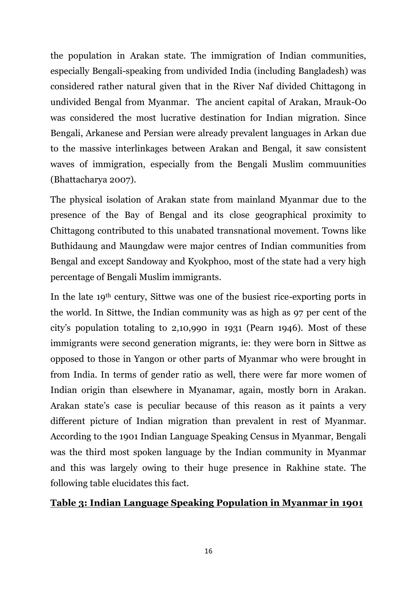the population in Arakan state. The immigration of Indian communities, especially Bengali-speaking from undivided India (including Bangladesh) was considered rather natural given that in the River Naf divided Chittagong in undivided Bengal from Myanmar. The ancient capital of Arakan, Mrauk-Oo was considered the most lucrative destination for Indian migration. Since Bengali, Arkanese and Persian were already prevalent languages in Arkan due to the massive interlinkages between Arakan and Bengal, it saw consistent waves of immigration, especially from the Bengali Muslim commuunities (Bhattacharya 2007).

The physical isolation of Arakan state from mainland Myanmar due to the presence of the Bay of Bengal and its close geographical proximity to Chittagong contributed to this unabated transnational movement. Towns like Buthidaung and Maungdaw were major centres of Indian communities from Bengal and except Sandoway and Kyokphoo, most of the state had a very high percentage of Bengali Muslim immigrants.

In the late 19th century, Sittwe was one of the busiest rice-exporting ports in the world. In Sittwe, the Indian community was as high as 97 per cent of the city's population totaling to 2,10,990 in 1931 (Pearn 1946). Most of these immigrants were second generation migrants, ie: they were born in Sittwe as opposed to those in Yangon or other parts of Myanmar who were brought in from India. In terms of gender ratio as well, there were far more women of Indian origin than elsewhere in Myanamar, again, mostly born in Arakan. Arakan state's case is peculiar because of this reason as it paints a very different picture of Indian migration than prevalent in rest of Myanmar. According to the 1901 Indian Language Speaking Census in Myanmar, Bengali was the third most spoken language by the Indian community in Myanmar and this was largely owing to their huge presence in Rakhine state. The following table elucidates this fact.

### **Table 3: Indian Language Speaking Population in Myanmar in 1901**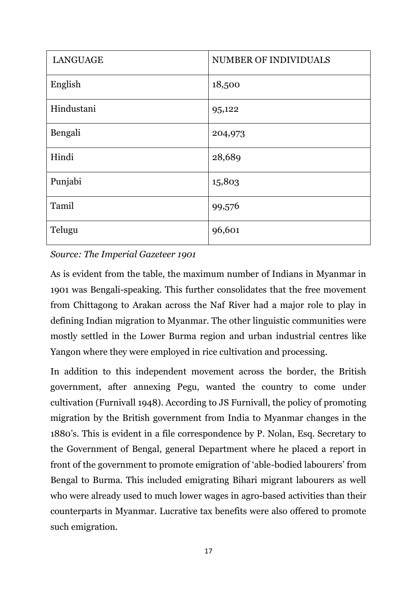| <b>LANGUAGE</b> | NUMBER OF INDIVIDUALS |
|-----------------|-----------------------|
| English         | 18,500                |
| Hindustani      | 95,122                |
| Bengali         | 204,973               |
| Hindi           | 28,689                |
| Punjabi         | 15,803                |
| Tamil           | 99,576                |
| Telugu          | 96,601                |

*Source: The Imperial Gazeteer 1901*

As is evident from the table, the maximum number of Indians in Myanmar in 1901 was Bengali-speaking. This further consolidates that the free movement from Chittagong to Arakan across the Naf River had a major role to play in defining Indian migration to Myanmar. The other linguistic communities were mostly settled in the Lower Burma region and urban industrial centres like Yangon where they were employed in rice cultivation and processing.

In addition to this independent movement across the border, the British government, after annexing Pegu, wanted the country to come under cultivation (Furnivall 1948). According to JS Furnivall, the policy of promoting migration by the British government from India to Myanmar changes in the 1880's. This is evident in a file correspondence by P. Nolan, Esq. Secretary to the Government of Bengal, general Department where he placed a report in front of the government to promote emigration of 'able-bodied labourers' from Bengal to Burma. This included emigrating Bihari migrant labourers as well who were already used to much lower wages in agro-based activities than their counterparts in Myanmar. Lucrative tax benefits were also offered to promote such emigration.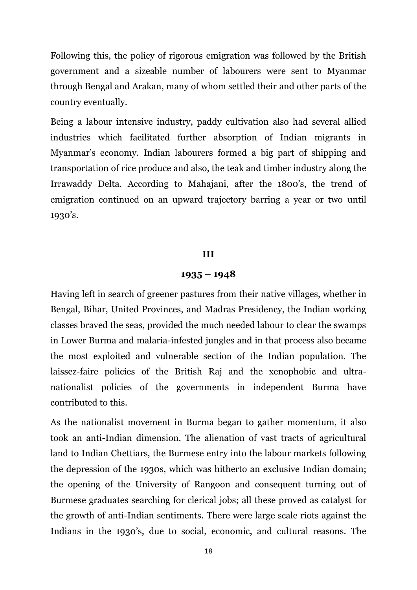Following this, the policy of rigorous emigration was followed by the British government and a sizeable number of labourers were sent to Myanmar through Bengal and Arakan, many of whom settled their and other parts of the country eventually.

Being a labour intensive industry, paddy cultivation also had several allied industries which facilitated further absorption of Indian migrants in Myanmar's economy. Indian labourers formed a big part of shipping and transportation of rice produce and also, the teak and timber industry along the Irrawaddy Delta. According to Mahajani, after the 1800's, the trend of emigration continued on an upward trajectory barring a year or two until 1930's.

#### **III**

### **1935 – 1948**

Having left in search of greener pastures from their native villages, whether in Bengal, Bihar, United Provinces, and Madras Presidency, the Indian working classes braved the seas, provided the much needed labour to clear the swamps in Lower Burma and malaria-infested jungles and in that process also became the most exploited and vulnerable section of the Indian population. The laissez-faire policies of the British Raj and the xenophobic and ultranationalist policies of the governments in independent Burma have contributed to this.

As the nationalist movement in Burma began to gather momentum, it also took an anti-Indian dimension. The alienation of vast tracts of agricultural land to Indian Chettiars, the Burmese entry into the labour markets following the depression of the 1930s, which was hitherto an exclusive Indian domain; the opening of the University of Rangoon and consequent turning out of Burmese graduates searching for clerical jobs; all these proved as catalyst for the growth of anti-Indian sentiments. There were large scale riots against the Indians in the 1930's, due to social, economic, and cultural reasons. The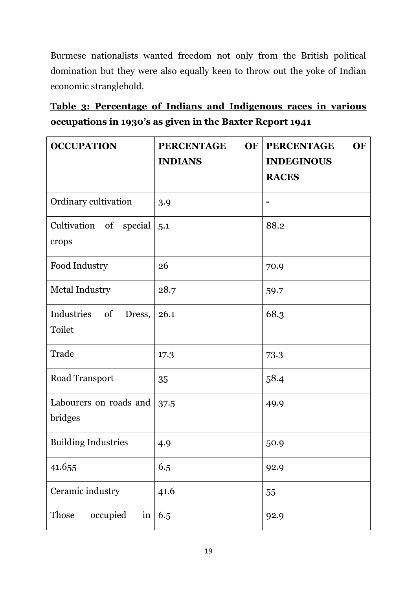Burmese nationalists wanted freedom not only from the British political domination but they were also equally keen to throw out the yoke of Indian economic stranglehold.

|                                                          | <u>Table 3: Percentage of Indians and Indigenous races in various</u> |  |  |  |  |  |  |  |
|----------------------------------------------------------|-----------------------------------------------------------------------|--|--|--|--|--|--|--|
| occupations in 1930's as given in the Baxter Report 1941 |                                                                       |  |  |  |  |  |  |  |

| <b>OCCUPATION</b>                           | <b>PERCENTAGE</b><br><b>OF</b><br><b>INDIANS</b> | <b>PERCENTAGE</b><br><b>OF</b><br><b>INDEGINOUS</b> |  |  |
|---------------------------------------------|--------------------------------------------------|-----------------------------------------------------|--|--|
|                                             |                                                  | <b>RACES</b>                                        |  |  |
| Ordinary cultivation                        | 3.9                                              |                                                     |  |  |
| Cultivation of<br>special<br>crops          | 5.1                                              | 88.2                                                |  |  |
| Food Industry                               | 26                                               | 70.9                                                |  |  |
| <b>Metal Industry</b>                       | 28.7                                             | 59.7                                                |  |  |
| Industries<br>of<br>Dress,<br><b>Toilet</b> | 26.1                                             | 68.3                                                |  |  |
| Trade                                       | 17.3                                             | 73.3                                                |  |  |
| Road Transport                              | 35                                               | 58.4                                                |  |  |
| Labourers on roads and<br>bridges           | 37.5                                             | 49.9                                                |  |  |
| <b>Building Industries</b>                  | 4.9                                              | 50.9                                                |  |  |
| 41.655                                      | 6.5                                              | 92.9                                                |  |  |
| Ceramic industry                            | 41.6                                             | 55                                                  |  |  |
| in<br>Those<br>occupied                     | 6.5                                              | 92.9                                                |  |  |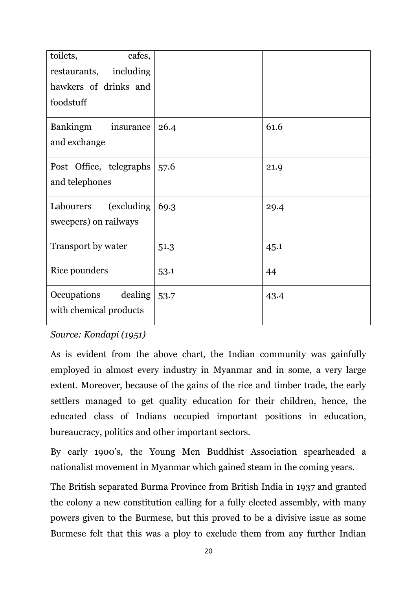| toilets,<br>cafes,        |      |      |
|---------------------------|------|------|
| including<br>restaurants, |      |      |
| hawkers of drinks and     |      |      |
| foodstuff                 |      |      |
| Bankingm<br>insurance     | 26.4 | 61.6 |
| and exchange              |      |      |
| Post Office, telegraphs   | 57.6 | 21.9 |
| and telephones            |      |      |
| (excluding)<br>Labourers  | 69.3 | 29.4 |
| sweepers) on railways     |      |      |
| Transport by water        | 51.3 | 45.1 |
| Rice pounders             | 53.1 | 44   |
| Occupations<br>dealing    | 53.7 | 43.4 |
| with chemical products    |      |      |
|                           |      |      |

### *Source: Kondapi (1951)*

As is evident from the above chart, the Indian community was gainfully employed in almost every industry in Myanmar and in some, a very large extent. Moreover, because of the gains of the rice and timber trade, the early settlers managed to get quality education for their children, hence, the educated class of Indians occupied important positions in education, bureaucracy, politics and other important sectors.

By early 1900's, the Young Men Buddhist Association spearheaded a nationalist movement in Myanmar which gained steam in the coming years.

The British separated Burma Province from British India in 1937 and granted the colony a new constitution calling for a fully elected assembly, with many powers given to the Burmese, but this proved to be a divisive issue as some Burmese felt that this was a ploy to exclude them from any further Indian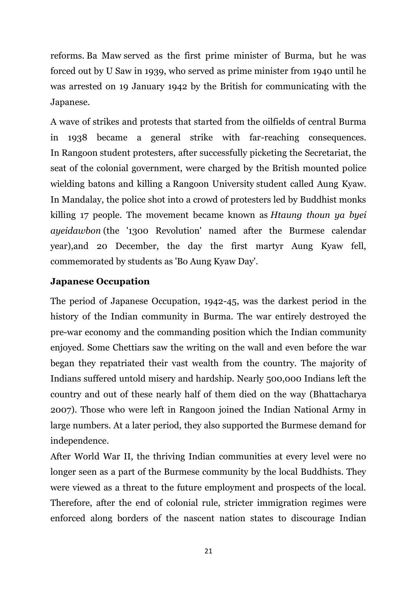reforms. Ba Maw served as the first prime minister of Burma, but he was forced out by U Saw in 1939, who served as prime minister from 1940 until he was arrested on 19 January 1942 by the British for communicating with the Japanese.

A wave of strikes and protests that started from the oilfields of central Burma in 1938 became a general strike with far-reaching consequences. In Rangoon student protesters, after successfully picketing the Secretariat, the seat of the colonial government, were charged by the British mounted police wielding batons and killing a Rangoon University student called Aung Kyaw. In Mandalay, the police shot into a crowd of protesters led by Buddhist monks killing 17 people. The movement became known as *Htaung thoun ya byei ayeidawbon* (the '1300 Revolution' named after the Burmese calendar year),and 20 December, the day the first martyr Aung Kyaw fell, commemorated by students as 'Bo Aung Kyaw Day'.

# **Japanese Occupation**

The period of Japanese Occupation, 1942-45, was the darkest period in the history of the Indian community in Burma. The war entirely destroyed the pre-war economy and the commanding position which the Indian community enjoyed. Some Chettiars saw the writing on the wall and even before the war began they repatriated their vast wealth from the country. The majority of Indians suffered untold misery and hardship. Nearly 500,000 Indians left the country and out of these nearly half of them died on the way (Bhattacharya 2007). Those who were left in Rangoon joined the Indian National Army in large numbers. At a later period, they also supported the Burmese demand for independence.

After World War II, the thriving Indian communities at every level were no longer seen as a part of the Burmese community by the local Buddhists. They were viewed as a threat to the future employment and prospects of the local. Therefore, after the end of colonial rule, stricter immigration regimes were enforced along borders of the nascent nation states to discourage Indian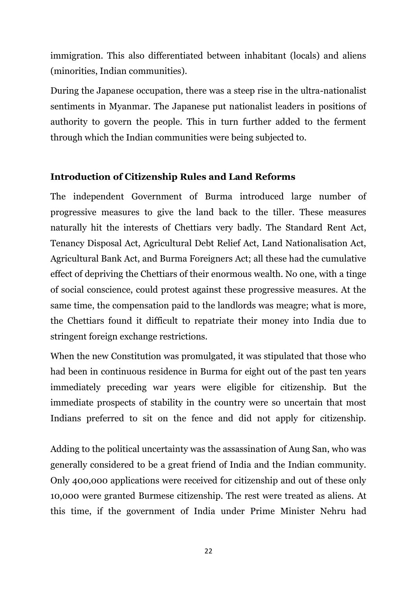immigration. This also differentiated between inhabitant (locals) and aliens (minorities, Indian communities).

During the Japanese occupation, there was a steep rise in the ultra-nationalist sentiments in Myanmar. The Japanese put nationalist leaders in positions of authority to govern the people. This in turn further added to the ferment through which the Indian communities were being subjected to.

# **Introduction of Citizenship Rules and Land Reforms**

The independent Government of Burma introduced large number of progressive measures to give the land back to the tiller. These measures naturally hit the interests of Chettiars very badly. The Standard Rent Act, Tenancy Disposal Act, Agricultural Debt Relief Act, Land Nationalisation Act, Agricultural Bank Act, and Burma Foreigners Act; all these had the cumulative effect of depriving the Chettiars of their enormous wealth. No one, with a tinge of social conscience, could protest against these progressive measures. At the same time, the compensation paid to the landlords was meagre; what is more, the Chettiars found it difficult to repatriate their money into India due to stringent foreign exchange restrictions.

When the new Constitution was promulgated, it was stipulated that those who had been in continuous residence in Burma for eight out of the past ten years immediately preceding war years were eligible for citizenship. But the immediate prospects of stability in the country were so uncertain that most Indians preferred to sit on the fence and did not apply for citizenship.

Adding to the political uncertainty was the assassination of Aung San, who was generally considered to be a great friend of India and the Indian community. Only 400,000 applications were received for citizenship and out of these only 10,000 were granted Burmese citizenship. The rest were treated as aliens. At this time, if the government of India under Prime Minister Nehru had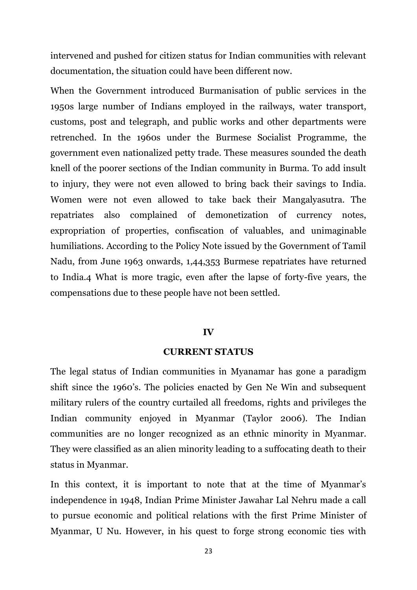intervened and pushed for citizen status for Indian communities with relevant documentation, the situation could have been different now.

When the Government introduced Burmanisation of public services in the 1950s large number of Indians employed in the railways, water transport, customs, post and telegraph, and public works and other departments were retrenched. In the 1960s under the Burmese Socialist Programme, the government even nationalized petty trade. These measures sounded the death knell of the poorer sections of the Indian community in Burma. To add insult to injury, they were not even allowed to bring back their savings to India. Women were not even allowed to take back their Mangalyasutra. The repatriates also complained of demonetization of currency notes, expropriation of properties, confiscation of valuables, and unimaginable humiliations. According to the Policy Note issued by the Government of Tamil Nadu, from June 1963 onwards, 1,44,353 Burmese repatriates have returned to India.4 What is more tragic, even after the lapse of forty-five years, the compensations due to these people have not been settled.

### **IV**

### **CURRENT STATUS**

The legal status of Indian communities in Myanamar has gone a paradigm shift since the 1960's. The policies enacted by Gen Ne Win and subsequent military rulers of the country curtailed all freedoms, rights and privileges the Indian community enjoyed in Myanmar (Taylor 2006). The Indian communities are no longer recognized as an ethnic minority in Myanmar. They were classified as an alien minority leading to a suffocating death to their status in Myanmar.

In this context, it is important to note that at the time of Myanmar's independence in 1948, Indian Prime Minister Jawahar Lal Nehru made a call to pursue economic and political relations with the first Prime Minister of Myanmar, U Nu. However, in his quest to forge strong economic ties with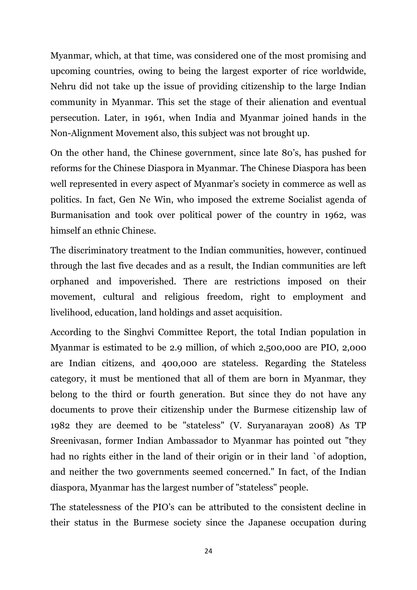Myanmar, which, at that time, was considered one of the most promising and upcoming countries, owing to being the largest exporter of rice worldwide, Nehru did not take up the issue of providing citizenship to the large Indian community in Myanmar. This set the stage of their alienation and eventual persecution. Later, in 1961, when India and Myanmar joined hands in the Non-Alignment Movement also, this subject was not brought up.

On the other hand, the Chinese government, since late 80's, has pushed for reforms for the Chinese Diaspora in Myanmar. The Chinese Diaspora has been well represented in every aspect of Myanmar's society in commerce as well as politics. In fact, Gen Ne Win, who imposed the extreme Socialist agenda of Burmanisation and took over political power of the country in 1962, was himself an ethnic Chinese.

The discriminatory treatment to the Indian communities, however, continued through the last five decades and as a result, the Indian communities are left orphaned and impoverished. There are restrictions imposed on their movement, cultural and religious freedom, right to employment and livelihood, education, land holdings and asset acquisition.

According to the Singhvi Committee Report, the total Indian population in Myanmar is estimated to be 2.9 million, of which 2,500,000 are PIO, 2,000 are Indian citizens, and 400,000 are stateless. Regarding the Stateless category, it must be mentioned that all of them are born in Myanmar, they belong to the third or fourth generation. But since they do not have any documents to prove their citizenship under the Burmese citizenship law of 1982 they are deemed to be "stateless" (V. Suryanarayan 2008) As TP Sreenivasan, former Indian Ambassador to Myanmar has pointed out "they had no rights either in the land of their origin or in their land `of adoption, and neither the two governments seemed concerned." In fact, of the Indian diaspora, Myanmar has the largest number of "stateless" people.

The statelessness of the PIO's can be attributed to the consistent decline in their status in the Burmese society since the Japanese occupation during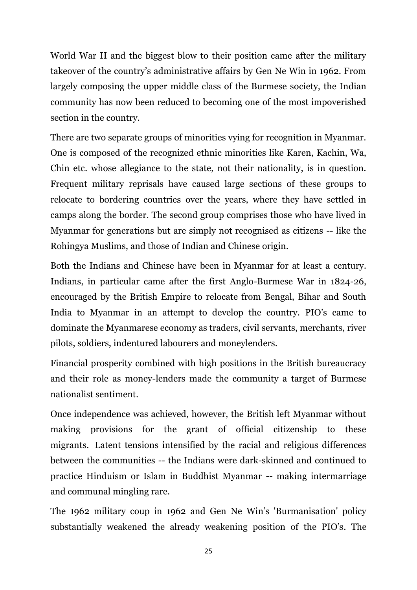World War II and the biggest blow to their position came after the military takeover of the country's administrative affairs by Gen Ne Win in 1962. From largely composing the upper middle class of the Burmese society, the Indian community has now been reduced to becoming one of the most impoverished section in the country.

There are two separate groups of minorities vying for recognition in Myanmar. One is composed of the recognized ethnic minorities like Karen, Kachin, Wa, Chin etc. whose allegiance to the state, not their nationality, is in question. Frequent military reprisals have caused large sections of these groups to relocate to bordering countries over the years, where they have settled in camps along the border. The second group comprises those who have lived in Myanmar for generations but are simply not recognised as citizens -- like the Rohingya Muslims, and those of Indian and Chinese origin.

Both the Indians and Chinese have been in Myanmar for at least a century. Indians, in particular came after the first Anglo-Burmese War in 1824-26, encouraged by the British Empire to relocate from Bengal, Bihar and South India to Myanmar in an attempt to develop the country. PIO's came to dominate the Myanmarese economy as traders, civil servants, merchants, river pilots, soldiers, indentured labourers and moneylenders.

Financial prosperity combined with high positions in the British bureaucracy and their role as money-lenders made the community a target of Burmese nationalist sentiment.

Once independence was achieved, however, the British left Myanmar without making provisions for the grant of official citizenship to these migrants. Latent tensions intensified by the racial and religious differences between the communities -- the Indians were dark-skinned and continued to practice Hinduism or Islam in Buddhist Myanmar -- making intermarriage and communal mingling rare.

The 1962 military coup in 1962 and Gen Ne Win's 'Burmanisation' policy substantially weakened the already weakening position of the PIO's. The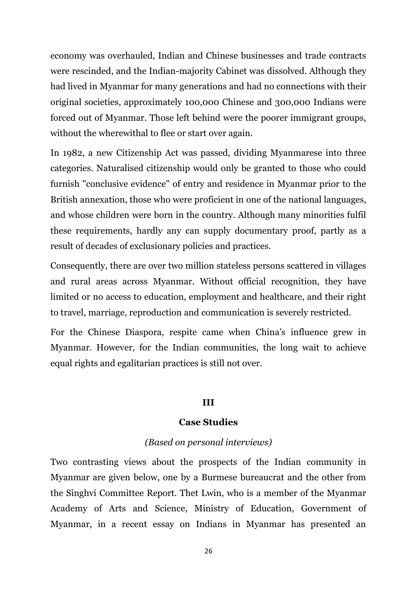economy was overhauled, Indian and Chinese businesses and trade contracts were rescinded, and the Indian-majority Cabinet was dissolved. Although they had lived in Myanmar for many generations and had no connections with their original societies, approximately 100,000 Chinese and 300,000 Indians were forced out of Myanmar. Those left behind were the poorer immigrant groups, without the wherewithal to flee or start over again.

In 1982, a new Citizenship Act was passed, dividing Myanmarese into three categories. Naturalised citizenship would only be granted to those who could furnish "conclusive evidence" of entry and residence in Myanmar prior to the British annexation, those who were proficient in one of the national languages, and whose children were born in the country. Although many minorities fulfil these requirements, hardly any can supply documentary proof, partly as a result of decades of exclusionary policies and practices.

Consequently, there are over two million stateless persons scattered in villages and rural areas across Myanmar. Without official recognition, they have limited or no access to education, employment and healthcare, and their right to travel, marriage, reproduction and communication is severely restricted.

For the Chinese Diaspora, respite came when China's influence grew in Myanmar. However, for the Indian communities, the long wait to achieve equal rights and egalitarian practices is still not over.

#### **III**

#### **Case Studies**

#### *(Based on personal interviews)*

Two contrasting views about the prospects of the Indian community in Myanmar are given below, one by a Burmese bureaucrat and the other from the Singhvi Committee Report. Thet Lwin, who is a member of the Myanmar Academy of Arts and Science, Ministry of Education, Government of Myanmar, in a recent essay on Indians in Myanmar has presented an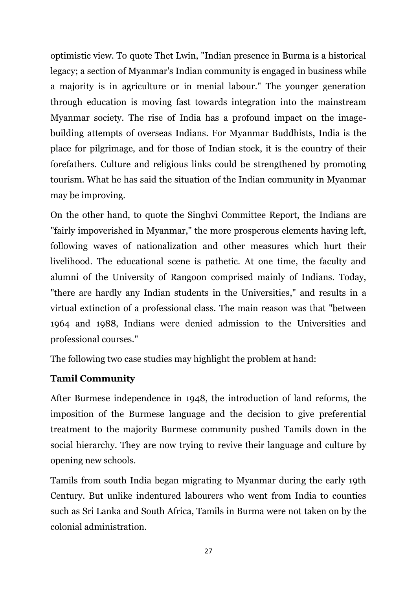optimistic view. To quote Thet Lwin, "Indian presence in Burma is a historical legacy; a section of Myanmar's Indian community is engaged in business while a majority is in agriculture or in menial labour." The younger generation through education is moving fast towards integration into the mainstream Myanmar society. The rise of India has a profound impact on the imagebuilding attempts of overseas Indians. For Myanmar Buddhists, India is the place for pilgrimage, and for those of Indian stock, it is the country of their forefathers. Culture and religious links could be strengthened by promoting tourism. What he has said the situation of the Indian community in Myanmar may be improving.

On the other hand, to quote the Singhvi Committee Report, the Indians are "fairly impoverished in Myanmar," the more prosperous elements having left, following waves of nationalization and other measures which hurt their livelihood. The educational scene is pathetic. At one time, the faculty and alumni of the University of Rangoon comprised mainly of Indians. Today, "there are hardly any Indian students in the Universities," and results in a virtual extinction of a professional class. The main reason was that "between 1964 and 1988, Indians were denied admission to the Universities and professional courses."

The following two case studies may highlight the problem at hand:

# **Tamil Community**

After Burmese independence in 1948, the introduction of land reforms, the imposition of the Burmese language and the decision to give preferential treatment to the majority Burmese community pushed Tamils down in the social hierarchy. They are now trying to revive their language and culture by opening new schools.

Tamils from south India began migrating to Myanmar during the early 19th Century. But unlike indentured labourers who went from India to counties such as Sri Lanka and South Africa, Tamils in Burma were not taken on by the colonial administration.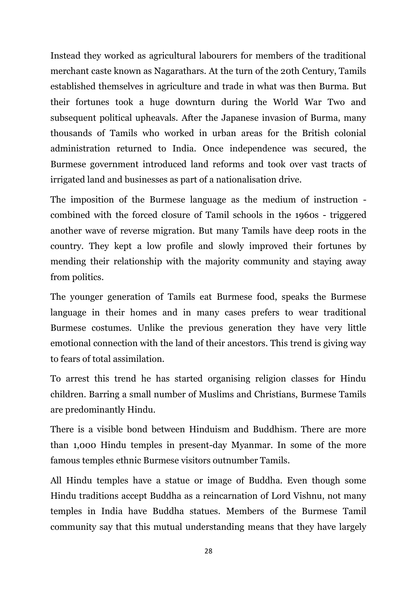Instead they worked as agricultural labourers for members of the traditional merchant caste known as Nagarathars. At the turn of the 20th Century, Tamils established themselves in agriculture and trade in what was then Burma. But their fortunes took a huge downturn during the World War Two and subsequent political upheavals. After the Japanese invasion of Burma, many thousands of Tamils who worked in urban areas for the British colonial administration returned to India. Once independence was secured, the Burmese government introduced land reforms and took over vast tracts of irrigated land and businesses as part of a nationalisation drive.

The imposition of the Burmese language as the medium of instruction combined with the forced closure of Tamil schools in the 1960s - triggered another wave of reverse migration. But many Tamils have deep roots in the country. They kept a low profile and slowly improved their fortunes by mending their relationship with the majority community and staying away from politics.

The younger generation of Tamils eat Burmese food, speaks the Burmese language in their homes and in many cases prefers to wear traditional Burmese costumes. Unlike the previous generation they have very little emotional connection with the land of their ancestors. This trend is giving way to fears of total assimilation.

To arrest this trend he has started organising religion classes for Hindu children. Barring a small number of Muslims and Christians, Burmese Tamils are predominantly Hindu.

There is a visible bond between Hinduism and Buddhism. There are more than 1,000 Hindu temples in present-day Myanmar. In some of the more famous temples ethnic Burmese visitors outnumber Tamils.

All Hindu temples have a statue or image of Buddha. Even though some Hindu traditions accept Buddha as a reincarnation of Lord Vishnu, not many temples in India have Buddha statues. Members of the Burmese Tamil community say that this mutual understanding means that they have largely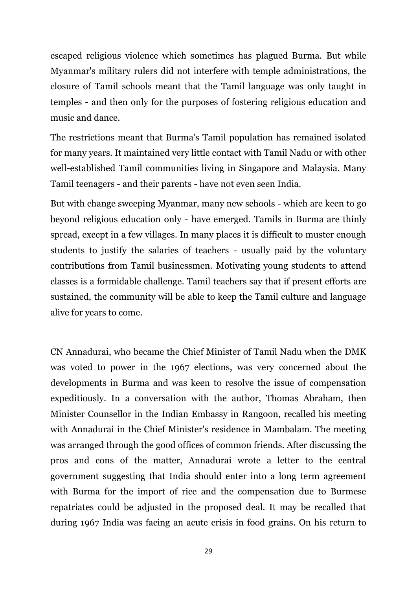escaped religious violence which sometimes has plagued Burma. But while Myanmar's military rulers did not interfere with temple administrations, the closure of Tamil schools meant that the Tamil language was only taught in temples - and then only for the purposes of fostering religious education and music and dance.

The restrictions meant that Burma's Tamil population has remained isolated for many years. It maintained very little contact with Tamil Nadu or with other well-established Tamil communities living in Singapore and Malaysia. Many Tamil teenagers - and their parents - have not even seen India.

But with change sweeping Myanmar, many new schools - which are keen to go beyond religious education only - have emerged. Tamils in Burma are thinly spread, except in a few villages. In many places it is difficult to muster enough students to justify the salaries of teachers - usually paid by the voluntary contributions from Tamil businessmen. Motivating young students to attend classes is a formidable challenge. Tamil teachers say that if present efforts are sustained, the community will be able to keep the Tamil culture and language alive for years to come.

CN Annadurai, who became the Chief Minister of Tamil Nadu when the DMK was voted to power in the 1967 elections, was very concerned about the developments in Burma and was keen to resolve the issue of compensation expeditiously. In a conversation with the author, Thomas Abraham, then Minister Counsellor in the Indian Embassy in Rangoon, recalled his meeting with Annadurai in the Chief Minister's residence in Mambalam. The meeting was arranged through the good offices of common friends. After discussing the pros and cons of the matter, Annadurai wrote a letter to the central government suggesting that India should enter into a long term agreement with Burma for the import of rice and the compensation due to Burmese repatriates could be adjusted in the proposed deal. It may be recalled that during 1967 India was facing an acute crisis in food grains. On his return to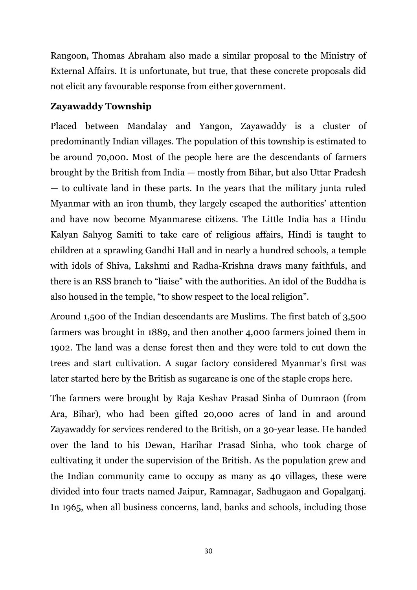Rangoon, Thomas Abraham also made a similar proposal to the Ministry of External Affairs. It is unfortunate, but true, that these concrete proposals did not elicit any favourable response from either government.

# **Zayawaddy Township**

Placed between Mandalay and Yangon, Zayawaddy is a cluster of predominantly Indian villages. The population of this township is estimated to be around 70,000. Most of the people here are the descendants of farmers brought by the British from India — mostly from Bihar, but also Uttar Pradesh — to cultivate land in these parts. In the years that the military junta ruled Myanmar with an iron thumb, they largely escaped the authorities' attention and have now become Myanmarese citizens. The Little India has a Hindu Kalyan Sahyog Samiti to take care of religious affairs, Hindi is taught to children at a sprawling Gandhi Hall and in nearly a hundred schools, a temple with idols of Shiva, Lakshmi and Radha-Krishna draws many faithfuls, and there is an RSS branch to "liaise" with the authorities. An idol of the Buddha is also housed in the temple, "to show respect to the local religion".

Around 1,500 of the Indian descendants are Muslims. The first batch of 3,500 farmers was brought in 1889, and then another 4,000 farmers joined them in 1902. The land was a dense forest then and they were told to cut down the trees and start cultivation. A sugar factory considered Myanmar's first was later started here by the British as sugarcane is one of the staple crops here.

The farmers were brought by Raja Keshav Prasad Sinha of Dumraon (from Ara, Bihar), who had been gifted 20,000 acres of land in and around Zayawaddy for services rendered to the British, on a 30-year lease. He handed over the land to his Dewan, Harihar Prasad Sinha, who took charge of cultivating it under the supervision of the British. As the population grew and the Indian community came to occupy as many as 40 villages, these were divided into four tracts named Jaipur, Ramnagar, Sadhugaon and Gopalganj. In 1965, when all business concerns, land, banks and schools, including those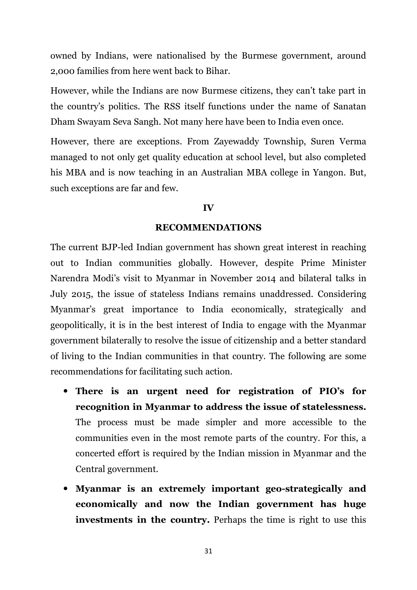owned by Indians, were nationalised by the Burmese government, around 2,000 families from here went back to Bihar.

However, while the Indians are now Burmese citizens, they can't take part in the country's politics. The RSS itself functions under the name of Sanatan Dham Swayam Seva Sangh. Not many here have been to India even once.

However, there are exceptions. From Zayewaddy Township, Suren Verma managed to not only get quality education at school level, but also completed his MBA and is now teaching in an Australian MBA college in Yangon. But, such exceptions are far and few.

#### **IV**

#### **RECOMMENDATIONS**

The current BJP-led Indian government has shown great interest in reaching out to Indian communities globally. However, despite Prime Minister Narendra Modi's visit to Myanmar in November 2014 and bilateral talks in July 2015, the issue of stateless Indians remains unaddressed. Considering Myanmar's great importance to India economically, strategically and geopolitically, it is in the best interest of India to engage with the Myanmar government bilaterally to resolve the issue of citizenship and a better standard of living to the Indian communities in that country. The following are some recommendations for facilitating such action.

- **There is an urgent need for registration of PIO's for recognition in Myanmar to address the issue of statelessness.** The process must be made simpler and more accessible to the communities even in the most remote parts of the country. For this, a concerted effort is required by the Indian mission in Myanmar and the Central government.
- **Myanmar is an extremely important geo-strategically and economically and now the Indian government has huge investments in the country.** Perhaps the time is right to use this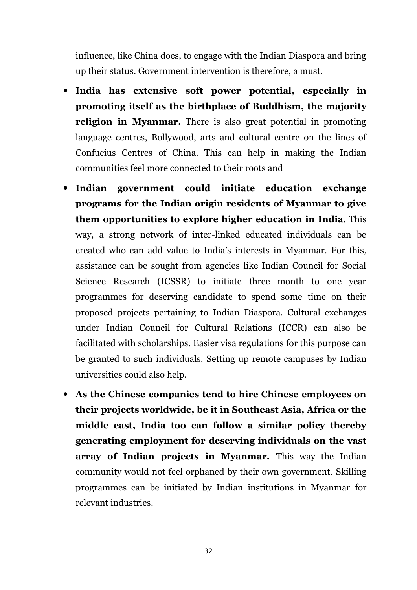influence, like China does, to engage with the Indian Diaspora and bring up their status. Government intervention is therefore, a must.

- **India has extensive soft power potential, especially in promoting itself as the birthplace of Buddhism, the majority religion in Myanmar.** There is also great potential in promoting language centres, Bollywood, arts and cultural centre on the lines of Confucius Centres of China. This can help in making the Indian communities feel more connected to their roots and
- **Indian government could initiate education exchange programs for the Indian origin residents of Myanmar to give them opportunities to explore higher education in India.** This way, a strong network of inter-linked educated individuals can be created who can add value to India's interests in Myanmar. For this, assistance can be sought from agencies like Indian Council for Social Science Research (ICSSR) to initiate three month to one year programmes for deserving candidate to spend some time on their proposed projects pertaining to Indian Diaspora. Cultural exchanges under Indian Council for Cultural Relations (ICCR) can also be facilitated with scholarships. Easier visa regulations for this purpose can be granted to such individuals. Setting up remote campuses by Indian universities could also help.
- **As the Chinese companies tend to hire Chinese employees on their projects worldwide, be it in Southeast Asia, Africa or the middle east, India too can follow a similar policy thereby generating employment for deserving individuals on the vast array of Indian projects in Myanmar.** This way the Indian community would not feel orphaned by their own government. Skilling programmes can be initiated by Indian institutions in Myanmar for relevant industries.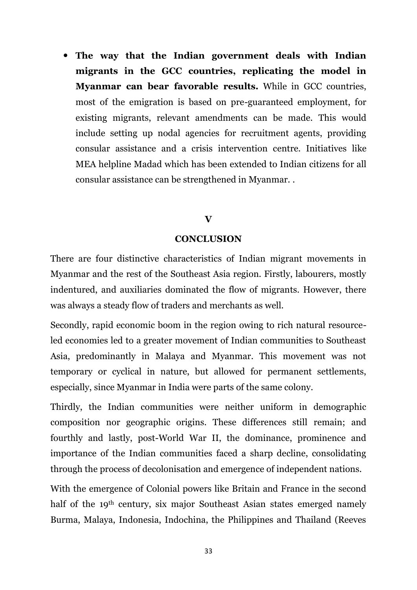**The way that the Indian government deals with Indian migrants in the GCC countries, replicating the model in Myanmar can bear favorable results.** While in GCC countries, most of the emigration is based on pre-guaranteed employment, for existing migrants, relevant amendments can be made. This would include setting up nodal agencies for recruitment agents, providing consular assistance and a crisis intervention centre. Initiatives like MEA helpline Madad which has been extended to Indian citizens for all consular assistance can be strengthened in Myanmar. .

### **V**

### **CONCLUSION**

There are four distinctive characteristics of Indian migrant movements in Myanmar and the rest of the Southeast Asia region. Firstly, labourers, mostly indentured, and auxiliaries dominated the flow of migrants. However, there was always a steady flow of traders and merchants as well.

Secondly, rapid economic boom in the region owing to rich natural resourceled economies led to a greater movement of Indian communities to Southeast Asia, predominantly in Malaya and Myanmar. This movement was not temporary or cyclical in nature, but allowed for permanent settlements, especially, since Myanmar in India were parts of the same colony.

Thirdly, the Indian communities were neither uniform in demographic composition nor geographic origins. These differences still remain; and fourthly and lastly, post-World War II, the dominance, prominence and importance of the Indian communities faced a sharp decline, consolidating through the process of decolonisation and emergence of independent nations.

With the emergence of Colonial powers like Britain and France in the second half of the 19<sup>th</sup> century, six major Southeast Asian states emerged namely Burma, Malaya, Indonesia, Indochina, the Philippines and Thailand (Reeves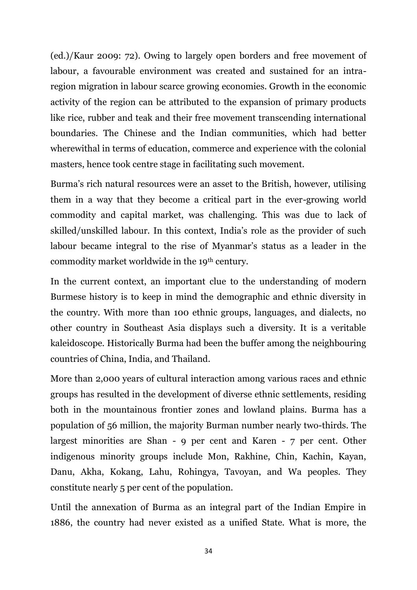(ed.)/Kaur 2009: 72). Owing to largely open borders and free movement of labour, a favourable environment was created and sustained for an intraregion migration in labour scarce growing economies. Growth in the economic activity of the region can be attributed to the expansion of primary products like rice, rubber and teak and their free movement transcending international boundaries. The Chinese and the Indian communities, which had better wherewithal in terms of education, commerce and experience with the colonial masters, hence took centre stage in facilitating such movement.

Burma's rich natural resources were an asset to the British, however, utilising them in a way that they become a critical part in the ever-growing world commodity and capital market, was challenging. This was due to lack of skilled/unskilled labour. In this context, India's role as the provider of such labour became integral to the rise of Myanmar's status as a leader in the commodity market worldwide in the 19th century.

In the current context, an important clue to the understanding of modern Burmese history is to keep in mind the demographic and ethnic diversity in the country. With more than 100 ethnic groups, languages, and dialects, no other country in Southeast Asia displays such a diversity. It is a veritable kaleidoscope. Historically Burma had been the buffer among the neighbouring countries of China, India, and Thailand.

More than 2,000 years of cultural interaction among various races and ethnic groups has resulted in the development of diverse ethnic settlements, residing both in the mountainous frontier zones and lowland plains. Burma has a population of 56 million, the majority Burman number nearly two-thirds. The largest minorities are Shan - 9 per cent and Karen - 7 per cent. Other indigenous minority groups include Mon, Rakhine, Chin, Kachin, Kayan, Danu, Akha, Kokang, Lahu, Rohingya, Tavoyan, and Wa peoples. They constitute nearly 5 per cent of the population.

Until the annexation of Burma as an integral part of the Indian Empire in 1886, the country had never existed as a unified State. What is more, the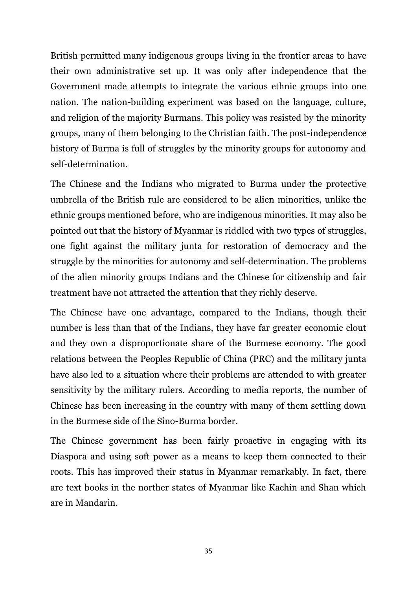British permitted many indigenous groups living in the frontier areas to have their own administrative set up. It was only after independence that the Government made attempts to integrate the various ethnic groups into one nation. The nation-building experiment was based on the language, culture, and religion of the majority Burmans. This policy was resisted by the minority groups, many of them belonging to the Christian faith. The post-independence history of Burma is full of struggles by the minority groups for autonomy and self-determination.

The Chinese and the Indians who migrated to Burma under the protective umbrella of the British rule are considered to be alien minorities, unlike the ethnic groups mentioned before, who are indigenous minorities. It may also be pointed out that the history of Myanmar is riddled with two types of struggles, one fight against the military junta for restoration of democracy and the struggle by the minorities for autonomy and self-determination. The problems of the alien minority groups Indians and the Chinese for citizenship and fair treatment have not attracted the attention that they richly deserve.

The Chinese have one advantage, compared to the Indians, though their number is less than that of the Indians, they have far greater economic clout and they own a disproportionate share of the Burmese economy. The good relations between the Peoples Republic of China (PRC) and the military junta have also led to a situation where their problems are attended to with greater sensitivity by the military rulers. According to media reports, the number of Chinese has been increasing in the country with many of them settling down in the Burmese side of the Sino-Burma border.

The Chinese government has been fairly proactive in engaging with its Diaspora and using soft power as a means to keep them connected to their roots. This has improved their status in Myanmar remarkably. In fact, there are text books in the norther states of Myanmar like Kachin and Shan which are in Mandarin.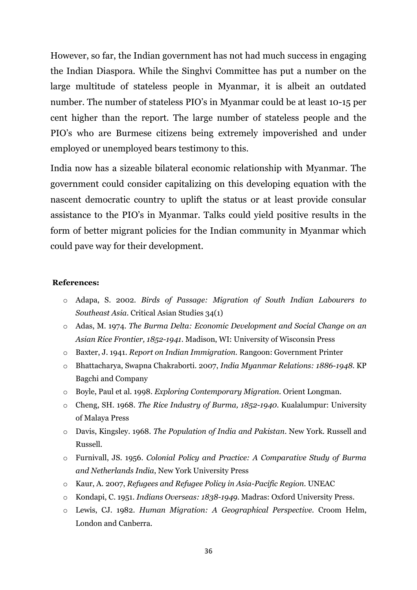However, so far, the Indian government has not had much success in engaging the Indian Diaspora. While the Singhvi Committee has put a number on the large multitude of stateless people in Myanmar, it is albeit an outdated number. The number of stateless PIO's in Myanmar could be at least 10-15 per cent higher than the report. The large number of stateless people and the PIO's who are Burmese citizens being extremely impoverished and under employed or unemployed bears testimony to this.

India now has a sizeable bilateral economic relationship with Myanmar. The government could consider capitalizing on this developing equation with the nascent democratic country to uplift the status or at least provide consular assistance to the PIO's in Myanmar. Talks could yield positive results in the form of better migrant policies for the Indian community in Myanmar which could pave way for their development.

#### **References:**

- o Adapa, S. 2002. *Birds of Passage: Migration of South Indian Labourers to Southeast Asia*. Critical Asian Studies 34(1)
- o Adas, M. 1974. *The Burma Delta: Economic Development and Social Change on an Asian Rice Frontier, 1852-1941*. Madison, WI: University of Wisconsin Press
- o Baxter, J. 1941. *Report on Indian Immigration.* Rangoon: Government Printer
- o Bhattacharya, Swapna Chakraborti. 2007, *India Myanmar Relations: 1886-1948*. KP Bagchi and Company
- o Boyle, Paul et al. 1998. *Exploring Contemporary Migration.* Orient Longman.
- o Cheng, SH. 1968. *The Rice Industry of Burma, 1852-1940*. Kualalumpur: University of Malaya Press
- o Davis, Kingsley. 1968. *The Population of India and Pakistan*. New York. Russell and Russell.
- o Furnivall, JS. 1956. *Colonial Policy and Practice: A Comparative Study of Burma and Netherlands India*, New York University Press
- o Kaur, A. 2007, *Refugees and Refugee Policy in Asia-Pacific Region.* UNEAC
- o Kondapi, C. 1951. *Indians Overseas: 1838-1949.* Madras: Oxford University Press.
- o Lewis, CJ. 1982. *Human Migration: A Geographical Perspective.* Croom Helm, London and Canberra.